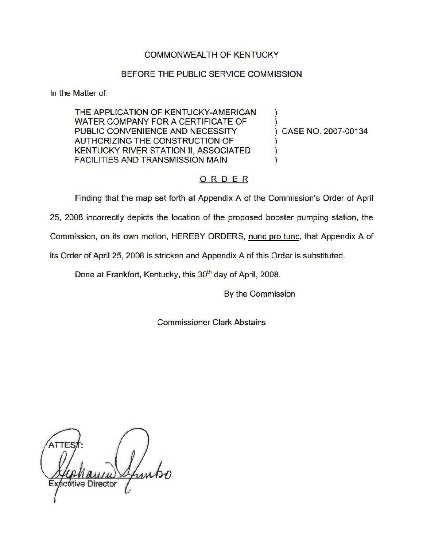## COMMONWEALTH OF KENTUCKY

## BEFORE THE PUBLIC SERVICE COMMISSION

In the Matter of:

THE APPLICATION OF KENTUCKY-AMERICAN WATER COMPANY FOR A CERTIFICATE OF PUBLIC CONVENIENCE AND NECESSITY AUTHORIZING THE CONSTRUCTION OF KENTUCKY RIVER STATION 11, ASSOCIATED FACILITIES AND TRANSMISSION MAIN

) CASE NO. 2007-00134

## ORDER

Finding that the map set forth at Appendix A of the Commission's Order of April

25, 2008 incorrectly depicts the location of the proposed booster pumping station, the

Commission, on its own motion, HEREBY ORDERS, nunc pro tunc, that Appendix A of

its Order of April 25, 2008 is stricken and Appendix A of this Order is substituted.

Done at Frankfort, Kentucky, this 30<sup>th</sup> day of April, 2008.

By the Commission

) )

) ) )

Commissioner Clark Abstains

 $\mathcal{U}$ ecutive Director